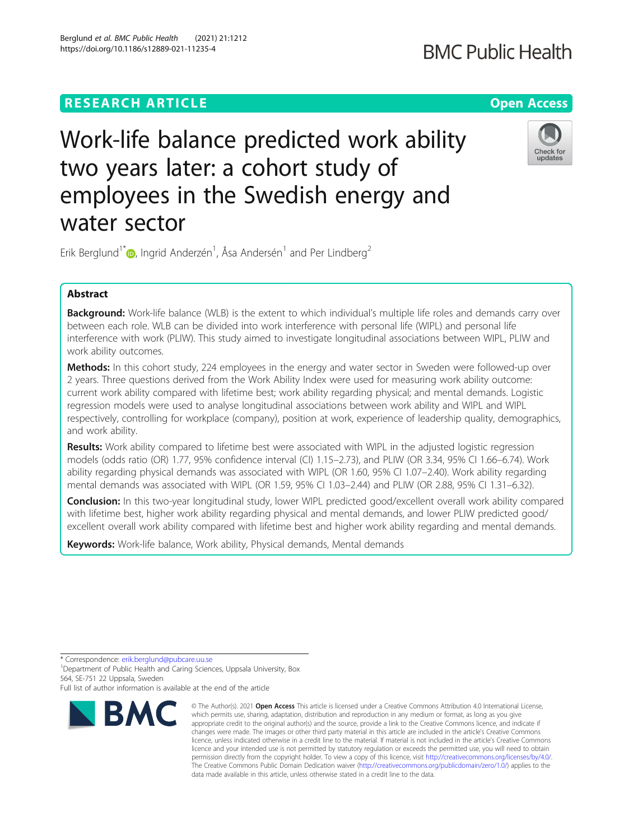# **RESEARCH ARTICLE Example 2014 12:30 The Contract of Contract ACCESS**

# Work-life balance predicted work ability two years later: a cohort study of employees in the Swedish energy and water sector

Erik Berglund<sup>1\*</sup> $\textsf{\textcircled{\textsf{b}}}$ [,](http://orcid.org/0000-0001-6937-4025) Ingrid Anderzén<sup>1</sup>, Åsa Andersén<sup>1</sup> and Per Lindberg<sup>2</sup>

# Abstract

**Background:** Work-life balance (WLB) is the extent to which individual's multiple life roles and demands carry over between each role. WLB can be divided into work interference with personal life (WIPL) and personal life interference with work (PLIW). This study aimed to investigate longitudinal associations between WIPL, PLIW and work ability outcomes.

Methods: In this cohort study, 224 employees in the energy and water sector in Sweden were followed-up over 2 years. Three questions derived from the Work Ability Index were used for measuring work ability outcome: current work ability compared with lifetime best; work ability regarding physical; and mental demands. Logistic regression models were used to analyse longitudinal associations between work ability and WIPL and WIPL respectively, controlling for workplace (company), position at work, experience of leadership quality, demographics, and work ability.

Results: Work ability compared to lifetime best were associated with WIPL in the adjusted logistic regression models (odds ratio (OR) 1.77, 95% confidence interval (CI) 1.15–2.73), and PLIW (OR 3.34, 95% CI 1.66–6.74). Work ability regarding physical demands was associated with WIPL (OR 1.60, 95% CI 1.07–2.40). Work ability regarding mental demands was associated with WIPL (OR 1.59, 95% CI 1.03–2.44) and PLIW (OR 2.88, 95% CI 1.31–6.32).

**Conclusion:** In this two-year longitudinal study, lower WIPL predicted good/excellent overall work ability compared with lifetime best, higher work ability regarding physical and mental demands, and lower PLIW predicted good/ excellent overall work ability compared with lifetime best and higher work ability regarding and mental demands.

Keywords: Work-life balance, Work ability, Physical demands, Mental demands

\* Correspondence: [erik.berglund@pubcare.uu.se](mailto:erik.berglund@pubcare.uu.se) <sup>1</sup>

<sup>1</sup> Department of Public Health and Caring Sciences, Uppsala University, Box 564, SE-751 22 Uppsala, Sweden

Full list of author information is available at the end of the article





<sup>©</sup> The Author(s), 2021 **Open Access** This article is licensed under a Creative Commons Attribution 4.0 International License, which permits use, sharing, adaptation, distribution and reproduction in any medium or format, as long as you give appropriate credit to the original author(s) and the source, provide a link to the Creative Commons licence, and indicate if changes were made. The images or other third party material in this article are included in the article's Creative Commons licence, unless indicated otherwise in a credit line to the material. If material is not included in the article's Creative Commons licence and your intended use is not permitted by statutory regulation or exceeds the permitted use, you will need to obtain permission directly from the copyright holder. To view a copy of this licence, visit [http://creativecommons.org/licenses/by/4.0/.](http://creativecommons.org/licenses/by/4.0/) The Creative Commons Public Domain Dedication waiver [\(http://creativecommons.org/publicdomain/zero/1.0/](http://creativecommons.org/publicdomain/zero/1.0/)) applies to the data made available in this article, unless otherwise stated in a credit line to the data.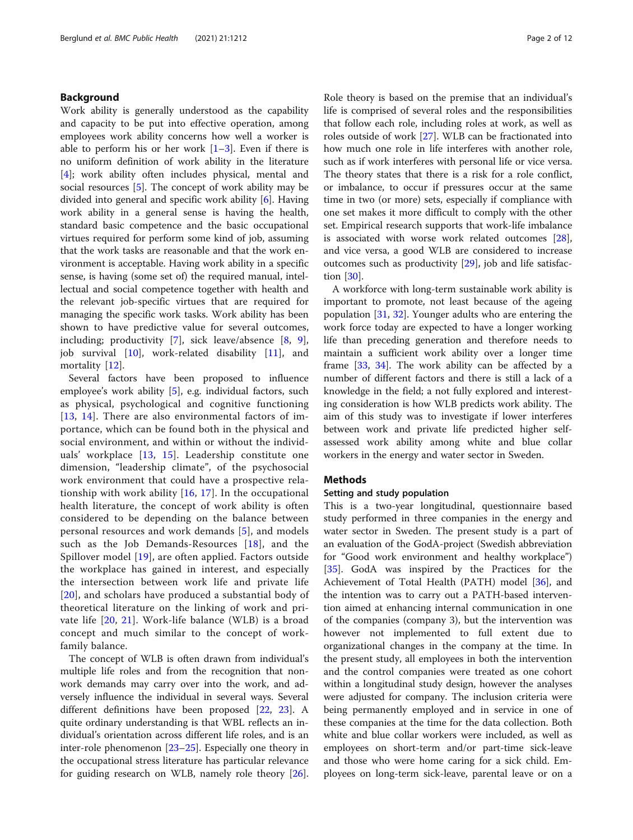# Background

Work ability is generally understood as the capability and capacity to be put into effective operation, among employees work ability concerns how well a worker is able to perform his or her work  $[1-3]$  $[1-3]$  $[1-3]$  $[1-3]$  $[1-3]$ . Even if there is no uniform definition of work ability in the literature [[4\]](#page-10-0); work ability often includes physical, mental and social resources [\[5](#page-10-0)]. The concept of work ability may be divided into general and specific work ability [\[6\]](#page-10-0). Having work ability in a general sense is having the health, standard basic competence and the basic occupational virtues required for perform some kind of job, assuming that the work tasks are reasonable and that the work environment is acceptable. Having work ability in a specific sense, is having (some set of) the required manual, intellectual and social competence together with health and the relevant job-specific virtues that are required for managing the specific work tasks. Work ability has been shown to have predictive value for several outcomes, including; productivity [[7](#page-10-0)], sick leave/absence [[8](#page-10-0), [9](#page-10-0)], job survival [\[10](#page-10-0)], work-related disability [\[11](#page-10-0)], and mortality [[12\]](#page-10-0).

Several factors have been proposed to influence employee's work ability [[5\]](#page-10-0), e.g. individual factors, such as physical, psychological and cognitive functioning [[13](#page-10-0), [14\]](#page-10-0). There are also environmental factors of importance, which can be found both in the physical and social environment, and within or without the individuals' workplace [[13](#page-10-0), [15\]](#page-10-0). Leadership constitute one dimension, "leadership climate", of the psychosocial work environment that could have a prospective relationship with work ability  $[16, 17]$  $[16, 17]$  $[16, 17]$  $[16, 17]$ . In the occupational health literature, the concept of work ability is often considered to be depending on the balance between personal resources and work demands [\[5\]](#page-10-0), and models such as the Job Demands-Resources [[18](#page-10-0)], and the Spillover model [[19\]](#page-10-0), are often applied. Factors outside the workplace has gained in interest, and especially the intersection between work life and private life [[20](#page-10-0)], and scholars have produced a substantial body of theoretical literature on the linking of work and private life [[20](#page-10-0), [21\]](#page-10-0). Work-life balance (WLB) is a broad concept and much similar to the concept of workfamily balance.

The concept of WLB is often drawn from individual's multiple life roles and from the recognition that nonwork demands may carry over into the work, and adversely influence the individual in several ways. Several different definitions have been proposed [\[22,](#page-10-0) [23](#page-10-0)]. A quite ordinary understanding is that WBL reflects an individual's orientation across different life roles, and is an inter-role phenomenon [[23](#page-10-0)–[25](#page-10-0)]. Especially one theory in the occupational stress literature has particular relevance for guiding research on WLB, namely role theory [\[26](#page-10-0)].

Role theory is based on the premise that an individual's life is comprised of several roles and the responsibilities that follow each role, including roles at work, as well as roles outside of work [[27\]](#page-10-0). WLB can be fractionated into how much one role in life interferes with another role, such as if work interferes with personal life or vice versa. The theory states that there is a risk for a role conflict, or imbalance, to occur if pressures occur at the same time in two (or more) sets, especially if compliance with one set makes it more difficult to comply with the other set. Empirical research supports that work-life imbalance is associated with worse work related outcomes [\[28](#page-10-0)], and vice versa, a good WLB are considered to increase outcomes such as productivity [\[29\]](#page-10-0), job and life satisfaction [\[30\]](#page-10-0).

A workforce with long-term sustainable work ability is important to promote, not least because of the ageing population [[31,](#page-10-0) [32\]](#page-10-0). Younger adults who are entering the work force today are expected to have a longer working life than preceding generation and therefore needs to maintain a sufficient work ability over a longer time frame [\[33](#page-10-0), [34](#page-10-0)]. The work ability can be affected by a number of different factors and there is still a lack of a knowledge in the field; a not fully explored and interesting consideration is how WLB predicts work ability. The aim of this study was to investigate if lower interferes between work and private life predicted higher selfassessed work ability among white and blue collar workers in the energy and water sector in Sweden.

# Methods

## Setting and study population

This is a two-year longitudinal, questionnaire based study performed in three companies in the energy and water sector in Sweden. The present study is a part of an evaluation of the GodA-project (Swedish abbreviation for "Good work environment and healthy workplace") [[35\]](#page-10-0). GodA was inspired by the Practices for the Achievement of Total Health (PATH) model [[36\]](#page-10-0), and the intention was to carry out a PATH-based intervention aimed at enhancing internal communication in one of the companies (company 3), but the intervention was however not implemented to full extent due to organizational changes in the company at the time. In the present study, all employees in both the intervention and the control companies were treated as one cohort within a longitudinal study design, however the analyses were adjusted for company. The inclusion criteria were being permanently employed and in service in one of these companies at the time for the data collection. Both white and blue collar workers were included, as well as employees on short-term and/or part-time sick-leave and those who were home caring for a sick child. Employees on long-term sick-leave, parental leave or on a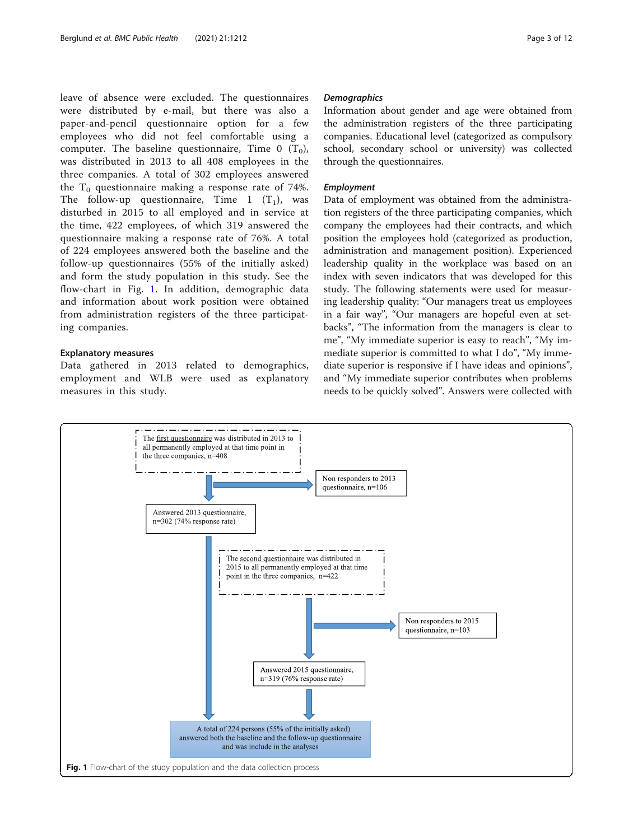leave of absence were excluded. The questionnaires were distributed by e-mail, but there was also a paper-and-pencil questionnaire option for a few employees who did not feel comfortable using a computer. The baseline questionnaire, Time 0  $(T_0)$ , was distributed in 2013 to all 408 employees in the three companies. A total of 302 employees answered the  $T_0$  questionnaire making a response rate of 74%. The follow-up questionnaire, Time 1  $(T_1)$ , was disturbed in 2015 to all employed and in service at the time, 422 employees, of which 319 answered the questionnaire making a response rate of 76%. A total of 224 employees answered both the baseline and the follow-up questionnaires (55% of the initially asked) and form the study population in this study. See the flow-chart in Fig. 1. In addition, demographic data and information about work position were obtained from administration registers of the three participating companies.

## Explanatory measures

Data gathered in 2013 related to demographics, employment and WLB were used as explanatory measures in this study.

Information about gender and age were obtained from the administration registers of the three participating companies. Educational level (categorized as compulsory school, secondary school or university) was collected through the questionnaires.

Data of employment was obtained from the administration registers of the three participating companies, which company the employees had their contracts, and which position the employees hold (categorized as production, administration and management position). Experienced leadership quality in the workplace was based on an index with seven indicators that was developed for this study. The following statements were used for measuring leadership quality: "Our managers treat us employees in a fair way", "Our managers are hopeful even at setbacks", "The information from the managers is clear to me", "My immediate superior is easy to reach", "My immediate superior is committed to what I do", "My immediate superior is responsive if I have ideas and opinions", and "My immediate superior contributes when problems needs to be quickly solved". Answers were collected with

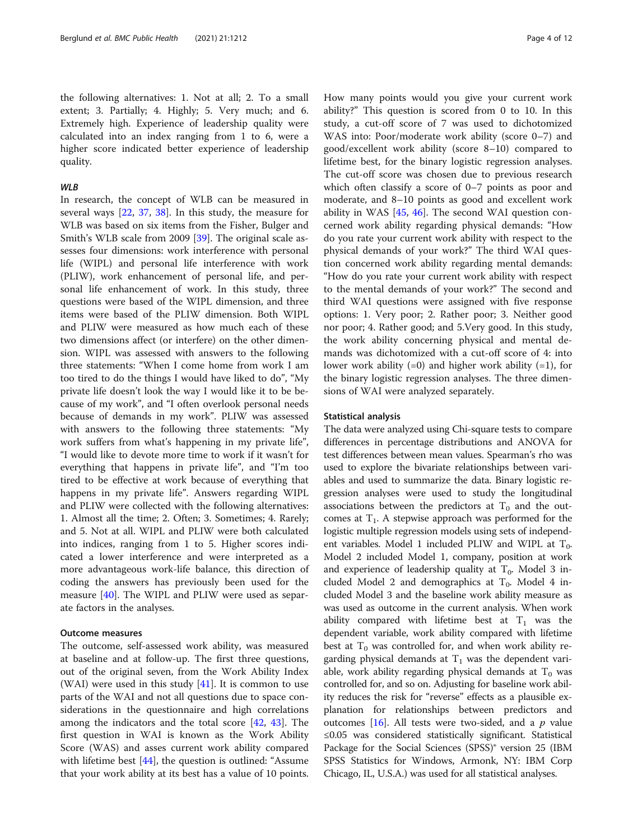the following alternatives: 1. Not at all; 2. To a small extent; 3. Partially; 4. Highly; 5. Very much; and 6. Extremely high. Experience of leadership quality were calculated into an index ranging from 1 to 6, were a higher score indicated better experience of leadership quality.

In research, the concept of WLB can be measured in several ways [[22](#page-10-0), [37](#page-10-0), [38](#page-10-0)]. In this study, the measure for WLB was based on six items from the Fisher, Bulger and Smith's WLB scale from 2009 [[39\]](#page-10-0). The original scale assesses four dimensions: work interference with personal life (WIPL) and personal life interference with work (PLIW), work enhancement of personal life, and personal life enhancement of work. In this study, three questions were based of the WIPL dimension, and three items were based of the PLIW dimension. Both WIPL and PLIW were measured as how much each of these two dimensions affect (or interfere) on the other dimension. WIPL was assessed with answers to the following three statements: "When I come home from work I am too tired to do the things I would have liked to do", "My private life doesn't look the way I would like it to be because of my work", and "I often overlook personal needs because of demands in my work". PLIW was assessed with answers to the following three statements: "My work suffers from what's happening in my private life", "I would like to devote more time to work if it wasn't for everything that happens in private life", and "I'm too tired to be effective at work because of everything that happens in my private life". Answers regarding WIPL and PLIW were collected with the following alternatives: 1. Almost all the time; 2. Often; 3. Sometimes; 4. Rarely; and 5. Not at all. WIPL and PLIW were both calculated into indices, ranging from 1 to 5. Higher scores indicated a lower interference and were interpreted as a more advantageous work-life balance, this direction of coding the answers has previously been used for the measure [\[40](#page-10-0)]. The WIPL and PLIW were used as separate factors in the analyses.

# Outcome measures

The outcome, self-assessed work ability, was measured at baseline and at follow-up. The first three questions, out of the original seven, from the Work Ability Index (WAI) were used in this study  $[41]$  $[41]$ . It is common to use parts of the WAI and not all questions due to space considerations in the questionnaire and high correlations among the indicators and the total score [[42](#page-10-0), [43\]](#page-11-0). The first question in WAI is known as the Work Ability Score (WAS) and asses current work ability compared with lifetime best [\[44\]](#page-11-0), the question is outlined: "Assume" that your work ability at its best has a value of 10 points.

How many points would you give your current work ability?" This question is scored from 0 to 10. In this study, a cut-off score of 7 was used to dichotomized WAS into: Poor/moderate work ability (score 0–7) and good/excellent work ability (score 8–10) compared to lifetime best, for the binary logistic regression analyses. The cut-off score was chosen due to previous research which often classify a score of 0–7 points as poor and moderate, and 8–10 points as good and excellent work ability in WAS [[45,](#page-11-0) [46\]](#page-11-0). The second WAI question concerned work ability regarding physical demands: "How do you rate your current work ability with respect to the physical demands of your work?" The third WAI question concerned work ability regarding mental demands: "How do you rate your current work ability with respect to the mental demands of your work?" The second and third WAI questions were assigned with five response options: 1. Very poor; 2. Rather poor; 3. Neither good nor poor; 4. Rather good; and 5.Very good. In this study, the work ability concerning physical and mental demands was dichotomized with a cut-off score of 4: into lower work ability  $(=0)$  and higher work ability  $(=1)$ , for the binary logistic regression analyses. The three dimensions of WAI were analyzed separately.

# Statistical analysis

The data were analyzed using Chi-square tests to compare differences in percentage distributions and ANOVA for test differences between mean values. Spearman's rho was used to explore the bivariate relationships between variables and used to summarize the data. Binary logistic regression analyses were used to study the longitudinal associations between the predictors at  $T_0$  and the outcomes at  $T_1$ . A stepwise approach was performed for the logistic multiple regression models using sets of independent variables. Model 1 included PLIW and WIPL at  $T_0$ . Model 2 included Model 1, company, position at work and experience of leadership quality at  $T_0$ . Model 3 included Model 2 and demographics at  $T_0$ . Model 4 included Model 3 and the baseline work ability measure as was used as outcome in the current analysis. When work ability compared with lifetime best at  $T_1$  was the dependent variable, work ability compared with lifetime best at  $T_0$  was controlled for, and when work ability regarding physical demands at  $T_1$  was the dependent variable, work ability regarding physical demands at  $T_0$  was controlled for, and so on. Adjusting for baseline work ability reduces the risk for "reverse" effects as a plausible explanation for relationships between predictors and outcomes [\[16\]](#page-10-0). All tests were two-sided, and a  $p$  value ≤0.05 was considered statistically significant. Statistical Package for the Social Sciences (SPSS)® version 25 (IBM SPSS Statistics for Windows, Armonk, NY: IBM Corp Chicago, IL, U.S.A.) was used for all statistical analyses.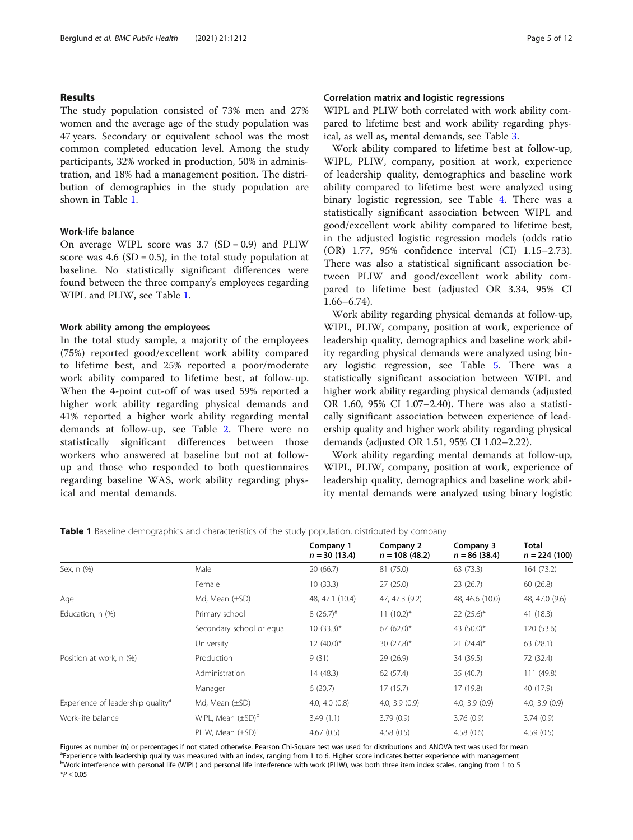# Results

The study population consisted of 73% men and 27% women and the average age of the study population was 47 years. Secondary or equivalent school was the most common completed education level. Among the study participants, 32% worked in production, 50% in administration, and 18% had a management position. The distribution of demographics in the study population are shown in Table 1.

## Work-life balance

On average WIPL score was  $3.7$  (SD = 0.9) and PLIW score was  $4.6$  (SD = 0.5), in the total study population at baseline. No statistically significant differences were found between the three company's employees regarding WIPL and PLIW, see Table 1.

#### Work ability among the employees

In the total study sample, a majority of the employees (75%) reported good/excellent work ability compared to lifetime best, and 25% reported a poor/moderate work ability compared to lifetime best, at follow-up. When the 4-point cut-off of was used 59% reported a higher work ability regarding physical demands and 41% reported a higher work ability regarding mental demands at follow-up, see Table [2](#page-5-0). There were no statistically significant differences between those workers who answered at baseline but not at followup and those who responded to both questionnaires regarding baseline WAS, work ability regarding physical and mental demands.

# Correlation matrix and logistic regressions

WIPL and PLIW both correlated with work ability compared to lifetime best and work ability regarding physical, as well as, mental demands, see Table [3.](#page-5-0)

Work ability compared to lifetime best at follow-up, WIPL, PLIW, company, position at work, experience of leadership quality, demographics and baseline work ability compared to lifetime best were analyzed using binary logistic regression, see Table [4.](#page-6-0) There was a statistically significant association between WIPL and good/excellent work ability compared to lifetime best, in the adjusted logistic regression models (odds ratio (OR) 1.77, 95% confidence interval (CI) 1.15–2.73). There was also a statistical significant association between PLIW and good/excellent work ability compared to lifetime best (adjusted OR 3.34, 95% CI 1.66–6.74).

Work ability regarding physical demands at follow-up, WIPL, PLIW, company, position at work, experience of leadership quality, demographics and baseline work ability regarding physical demands were analyzed using binary logistic regression, see Table [5](#page-7-0). There was a statistically significant association between WIPL and higher work ability regarding physical demands (adjusted OR 1.60, 95% CI 1.07–2.40). There was also a statistically significant association between experience of leadership quality and higher work ability regarding physical demands (adjusted OR 1.51, 95% CI 1.02–2.22).

Work ability regarding mental demands at follow-up, WIPL, PLIW, company, position at work, experience of leadership quality, demographics and baseline work ability mental demands were analyzed using binary logistic

|                                               |                           | Company 1<br>$n = 30(13.4)$ | Company 2<br>$n = 108(48.2)$ | Company 3<br>$n = 86(38.4)$ | Total<br>$n = 224(100)$ |
|-----------------------------------------------|---------------------------|-----------------------------|------------------------------|-----------------------------|-------------------------|
| Sex, n (%)                                    | Male                      | 20 (66.7)                   | 81 (75.0)                    | 63 (73.3)                   | 164 (73.2)              |
|                                               | Female                    | 10(33.3)                    | 27(25.0)                     | 23(26.7)                    | 60 (26.8)               |
| Age                                           | Md, Mean $(\pm SD)$       | 48, 47.1 (10.4)             | 47, 47.3 (9.2)               | 48, 46.6 (10.0)             | 48, 47.0 (9.6)          |
| Education, n (%)                              | Primary school            | $8(26.7)^{*}$               | $11(10.2)^{*}$               | $22(25.6)^*$                | 41 (18.3)               |
|                                               | Secondary school or equal | $10(33.3)^*$                | $67 (62.0)^*$                | 43 $(50.0)^*$               | 120 (53.6)              |
|                                               | University                | $12(40.0)^{*}$              | 30 $(27.8)^*$                | $21 (24.4)^*$               | 63(28.1)                |
| Position at work, n (%)                       | Production                | 9(31)                       | 29 (26.9)                    | 34 (39.5)                   | 72 (32.4)               |
|                                               | Administration            | 14 (48.3)                   | 62 (57.4)                    | 35 (40.7)                   | 111 (49.8)              |
|                                               | Manager                   | 6(20.7)                     | 17(15.7)                     | 17 (19.8)                   | 40 (17.9)               |
| Experience of leadership quality <sup>a</sup> | Md, Mean $(\pm SD)$       | $4.0, 4.0$ $(0.8)$          | 4.0, 3.9(0.9)                | 4.0, 3.9(0.9)               | 4.0, 3.9(0.9)           |
| Work-life balance                             | WIPL, Mean $(\pm SD)^D$   | 3.49(1.1)                   | 3.79(0.9)                    | 3.76(0.9)                   | 3.74(0.9)               |
|                                               | PLIW, Mean $(\pm SD)^b$   | 4.67(0.5)                   | 4.58(0.5)                    | 4.58(0.6)                   | 4.59(0.5)               |

**Table 1** Baseline demographics and characteristics of the study population, distributed by company

Figures as number (n) or percentages if not stated otherwise. Pearson Chi-Square test was used for distributions and ANOVA test was used for mean <sup>a</sup> Experience with leadership quality was measured with an index, ranging from 1 to 6. Higher score indicates better experience with management bWork interference with personal life (WIPL) and personal life interference with work (PLIW), was both three item index scales, ranging from 1 to 5 \*P ≤ 0.05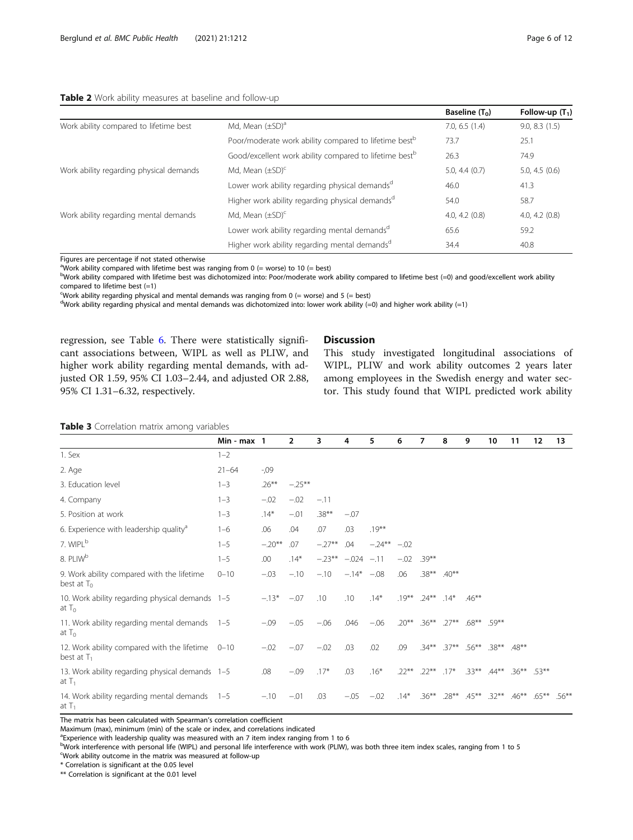## <span id="page-5-0"></span>Table 2 Work ability measures at baseline and follow-up

|                                         |                                                                    | Baseline $(T_0)$   | Follow-up $(T_1)$ |
|-----------------------------------------|--------------------------------------------------------------------|--------------------|-------------------|
| Work ability compared to lifetime best  | Md, Mean $(\pm SD)^a$                                              | $7.0, 6.5$ $(1.4)$ | 9.0, 8.3(1.5)     |
|                                         | Poor/moderate work ability compared to lifetime best <sup>b</sup>  | 73.7               | 25.1              |
|                                         | Good/excellent work ability compared to lifetime best <sup>b</sup> | 26.3               | 74.9              |
| Work ability regarding physical demands | Md. Mean $(\pm SD)^c$                                              | $5.0, 4.4$ (0.7)   | 5.0, 4.5(0.6)     |
|                                         | Lower work ability regarding physical demands <sup>d</sup>         | 46.0               | 41.3              |
|                                         | Higher work ability regarding physical demands <sup>d</sup>        | 54.0               | 58.7              |
| Work ability regarding mental demands   | Md, Mean $(\pm SD)^c$                                              | 4.0, 4.2(0.8)      | 4.0, 4.2(0.8)     |
|                                         | Lower work ability regarding mental demands <sup>d</sup>           | 65.6               | 59.2              |
|                                         | Higher work ability regarding mental demands <sup>d</sup>          | 34.4               | 40.8              |

Figures are percentage if not stated otherwise

<sup>a</sup>Work ability compared with lifetime best was ranging from 0 (= worse) to 10 (= best)

bWork ability compared with lifetime best was dichotomized into: Poor/moderate work ability compared to lifetime best (=0) and good/excellent work ability compared to lifetime best  $(=1)$ 

Work ability regarding physical and mental demands was ranging from  $0$  (= worse) and  $5$  (= best)

<sup>d</sup>Work ability regarding physical and mental demands was dichotomized into: lower work ability (=0) and higher work ability (=1)

regression, see Table [6](#page-8-0). There were statistically significant associations between, WIPL as well as PLIW, and higher work ability regarding mental demands, with adjusted OR 1.59, 95% CI 1.03–2.44, and adjusted OR 2.88, 95% CI 1.31–6.32, respectively.

# Discussion

This study investigated longitudinal associations of WIPL, PLIW and work ability outcomes 2 years later among employees in the Swedish energy and water sector. This study found that WIPL predicted work ability

Table 3 Correlation matrix among variables

|                                                                   | Min - $max 1$ |          | $\overline{2}$ | 3         | 4             | 5         | 6        | 7        | 8        | 9        | 10                | 11             | 12       | 13       |
|-------------------------------------------------------------------|---------------|----------|----------------|-----------|---------------|-----------|----------|----------|----------|----------|-------------------|----------------|----------|----------|
| 1. Sex                                                            | $1 - 2$       |          |                |           |               |           |          |          |          |          |                   |                |          |          |
| 2. Age                                                            | $21 - 64$     | $-0.09$  |                |           |               |           |          |          |          |          |                   |                |          |          |
| 3. Education level                                                | $1 - 3$       | $.26***$ | $-.25***$      |           |               |           |          |          |          |          |                   |                |          |          |
| 4. Company                                                        | $1 - 3$       | $-.02$   | $-.02$         | $-.11$    |               |           |          |          |          |          |                   |                |          |          |
| 5. Position at work                                               | $1 - 3$       | $.14*$   | $-.01$         | $.38***$  | $-.07$        |           |          |          |          |          |                   |                |          |          |
| 6. Experience with leadership quality <sup>a</sup>                | $1 - 6$       | .06      | .04            | .07       | .03           | $.19***$  |          |          |          |          |                   |                |          |          |
| 7. WIPL <sup>b</sup>                                              | $1 - 5$       | $-.20**$ | .07            | $-.27**$  | .04           | $-.24***$ | $-.02$   |          |          |          |                   |                |          |          |
| 8. PLIW <sup>b</sup>                                              | $1 - 5$       | .00      | $.14*$         | $-.23***$ | $-.024 - .11$ |           | $-.02$   | $.39***$ |          |          |                   |                |          |          |
| 9. Work ability compared with the lifetime<br>best at $T_0$       | $0 - 10$      | $-.03$   | $-.10$         | $-.10$    | $-.14* -.08$  |           | .06      | $.38***$ | $.40***$ |          |                   |                |          |          |
| 10. Work ability regarding physical demands 1-5<br>at $T_0$       |               | $-13*$   | $-.07$         | .10       | .10           | $.14*$    | $.19***$ | $.24***$ | $.14*$   | $.46***$ |                   |                |          |          |
| 11. Work ability regarding mental demands 1-5<br>at $T_0$         |               | $-.09$   | $-.05$         | $-.06$    | .046          | $-.06$    | $20**$   | $.36***$ | $.27***$ | $.68***$ | $59**$            |                |          |          |
| 12. Work ability compared with the lifetime 0-10<br>best at $T_1$ |               | $-.02$   | $-.07$         | $-.02$    | .03           | .02       | .09      | $.34***$ | $.37**$  |          | .56** .38** .48** |                |          |          |
| 13. Work ability regarding physical demands 1-5<br>at $T_1$       |               | .08      | $-.09$         | $.17*$    | .03           | $.16*$    | $.22***$ | $.22***$ | $.17*$   |          | $.33***$ $.44***$ | $.36***$ .53** |          |          |
| 14. Work ability regarding mental demands 1-5<br>at $T_1$         |               | $-.10$   | $-.01$         | .03       | $-.05$        | $-.02$    | $.14*$   | $.36***$ | $.28***$ | $.45***$ | $.32***$          | $.46***$       | $.65***$ | $.56***$ |

The matrix has been calculated with Spearman's correlation coefficient

Maximum (max), minimum (min) of the scale or index, and correlations indicated

<sup>a</sup>Experience with leadership quality was measured with an 7 item index ranging from 1 to 6

bWork interference with personal life (WIPL) and personal life interference with work (PLIW), was both three item index scales, ranging from 1 to 5

Work ability outcome in the matrix was measured at follow-up

\* Correlation is significant at the 0.05 level

\*\* Correlation is significant at the 0.01 level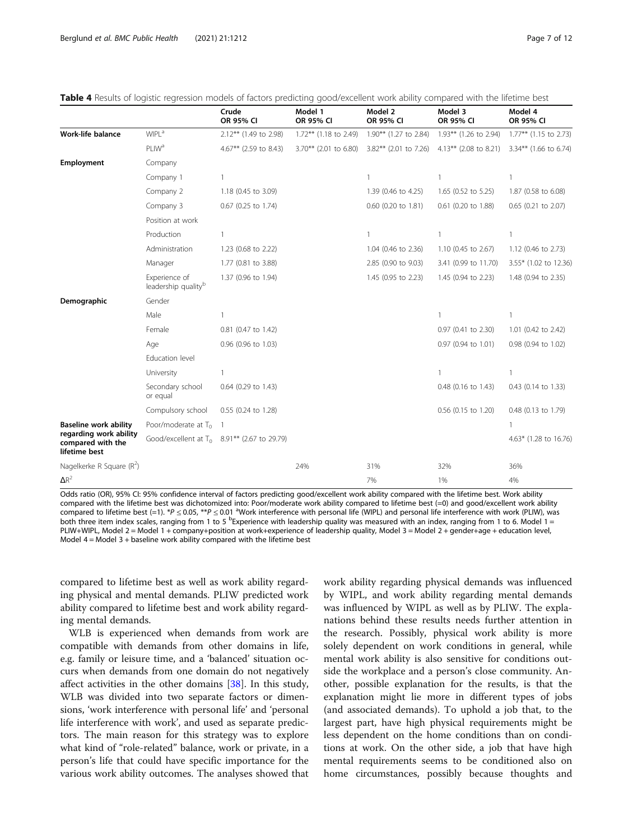|                                                              |                                                  | Crude<br>OR 95% CI                             | Model 1<br>OR 95% CI     | Model 2<br>OR 95% CI     | Model 3<br>OR 95% CI     | Model 4<br>OR 95% CI  |
|--------------------------------------------------------------|--------------------------------------------------|------------------------------------------------|--------------------------|--------------------------|--------------------------|-----------------------|
| Work-life balance                                            | <b>WIPL<sup>a</sup></b>                          | 2.12** (1.49 to 2.98)                          | 1.72** (1.18 to 2.49)    | 1.90** (1.27 to 2.84)    | 1.93** (1.26 to 2.94)    | 1.77** (1.15 to 2.73) |
|                                                              | <b>PLIW<sup>a</sup></b>                          | 4.67** (2.59 to 8.43)                          | $3.70***$ (2.01 to 6.80) | $3.82***$ (2.01 to 7.26) | $4.13***$ (2.08 to 8.21) | 3.34** (1.66 to 6.74) |
| Employment                                                   | Company                                          |                                                |                          |                          |                          |                       |
|                                                              | Company 1                                        | $\mathbf{1}$                                   |                          | 1                        |                          | $\mathbf{1}$          |
|                                                              | Company 2                                        | 1.18 (0.45 to 3.09)                            |                          | 1.39 (0.46 to 4.25)      | 1.65 (0.52 to 5.25)      | 1.87 (0.58 to 6.08)   |
|                                                              | Company 3                                        | 0.67 (0.25 to 1.74)                            |                          | $0.60$ (0.20 to 1.81)    | 0.61 (0.20 to 1.88)      | 0.65 (0.21 to 2.07)   |
|                                                              | Position at work                                 |                                                |                          |                          |                          |                       |
|                                                              | Production                                       |                                                |                          | 1                        |                          | 1                     |
|                                                              | Administration                                   | 1.23 (0.68 to 2.22)                            |                          | 1.04 (0.46 to 2.36)      | 1.10 (0.45 to 2.67)      | 1.12 (0.46 to 2.73)   |
|                                                              | Manager                                          | 1.77 (0.81 to 3.88)                            |                          | 2.85 (0.90 to 9.03)      | 3.41 (0.99 to 11.70)     | 3.55* (1.02 to 12.36) |
|                                                              | Experience of<br>leadership quality <sup>b</sup> | 1.37 (0.96 to 1.94)                            |                          | 1.45 (0.95 to 2.23)      | 1.45 (0.94 to 2.23)      | 1.48 (0.94 to 2.35)   |
| Demographic                                                  | Gender                                           |                                                |                          |                          |                          |                       |
|                                                              | Male                                             |                                                |                          |                          |                          | 1                     |
|                                                              | Female                                           | 0.81 (0.47 to 1.42)                            |                          |                          | 0.97 (0.41 to 2.30)      | 1.01 (0.42 to 2.42)   |
|                                                              | Age                                              | 0.96 (0.96 to 1.03)                            |                          |                          | 0.97 (0.94 to 1.01)      | 0.98 (0.94 to 1.02)   |
|                                                              | Education level                                  |                                                |                          |                          |                          |                       |
|                                                              | University                                       | $\mathbf{1}$                                   |                          |                          | 1                        | 1                     |
|                                                              | Secondary school<br>or equal                     | 0.64 (0.29 to 1.43)                            |                          |                          | 0.48 (0.16 to 1.43)      | 0.43 (0.14 to 1.33)   |
|                                                              | Compulsory school                                | 0.55 (0.24 to 1.28)                            |                          |                          | 0.56 (0.15 to 1.20)      | 0.48 (0.13 to 1.79)   |
| <b>Baseline work ability</b>                                 | Poor/moderate at $T_0$                           | - 1                                            |                          |                          |                          | $\mathbf{1}$          |
| regarding work ability<br>compared with the<br>lifetime best |                                                  | Good/excellent at $T_0$ 8.91** (2.67 to 29.79) |                          |                          |                          | 4.63* (1.28 to 16.76) |
| Nagelkerke R Square $(R^2)$                                  |                                                  |                                                | 24%                      | 31%                      | 32%                      | 36%                   |
| $\Delta R^2$                                                 |                                                  |                                                |                          | 7%                       | 1%                       | 4%                    |

<span id="page-6-0"></span>Table 4 Results of logistic regression models of factors predicting good/excellent work ability compared with the lifetime best

Odds ratio (OR), 95% CI: 95% confidence interval of factors predicting good/excellent work ability compared with the lifetime best. Work ability compared with the lifetime best was dichotomized into: Poor/moderate work ability compared to lifetime best (=0) and good/excellent work ability compared to lifetime best (=1). \*P ≤ 0.05, \*\*P ≤ 0.01 <sup>a</sup>Work interference with personal life (WIPL) and personal life interference with work (PLIW), was both three item index scales, ranging from 1 to 5 <sup>b</sup>Experience with leadership quality was measured with an index, ranging from 1 to 6. Model 1 = PLIW+WIPL, Model 2 = Model 1 + company+position at work+experience of leadership quality, Model 3 = Model 2 + gender+age + education level, Model  $4 =$  Model  $3 +$  baseline work ability compared with the lifetime best

compared to lifetime best as well as work ability regarding physical and mental demands. PLIW predicted work ability compared to lifetime best and work ability regarding mental demands.

WLB is experienced when demands from work are compatible with demands from other domains in life, e.g. family or leisure time, and a 'balanced' situation occurs when demands from one domain do not negatively affect activities in the other domains [[38\]](#page-10-0). In this study, WLB was divided into two separate factors or dimensions, 'work interference with personal life' and 'personal life interference with work', and used as separate predictors. The main reason for this strategy was to explore what kind of "role-related" balance, work or private, in a person's life that could have specific importance for the various work ability outcomes. The analyses showed that

work ability regarding physical demands was influenced by WIPL, and work ability regarding mental demands was influenced by WIPL as well as by PLIW. The explanations behind these results needs further attention in the research. Possibly, physical work ability is more solely dependent on work conditions in general, while mental work ability is also sensitive for conditions outside the workplace and a person's close community. Another, possible explanation for the results, is that the explanation might lie more in different types of jobs (and associated demands). To uphold a job that, to the largest part, have high physical requirements might be less dependent on the home conditions than on conditions at work. On the other side, a job that have high mental requirements seems to be conditioned also on home circumstances, possibly because thoughts and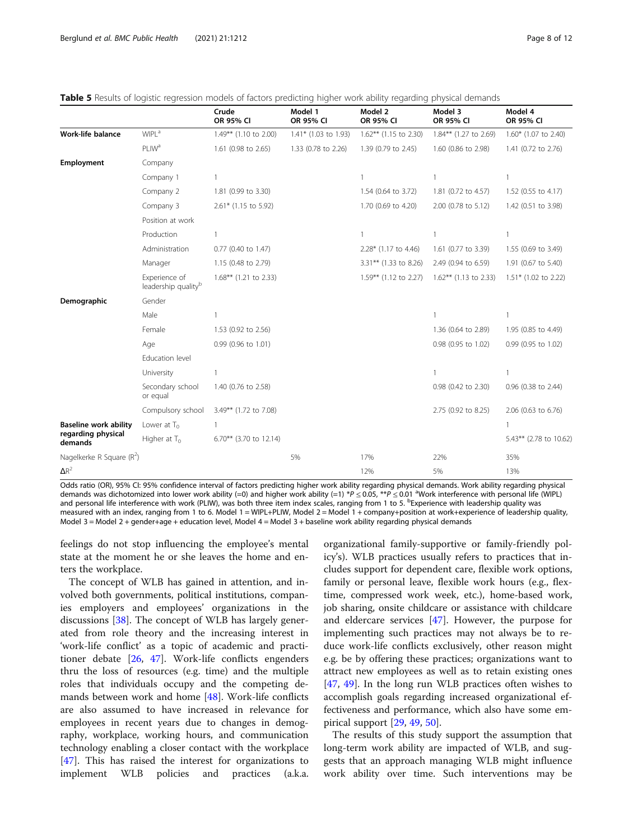<span id="page-7-0"></span>

|  | Table 5 Results of logistic regression models of factors predicting higher work ability regarding physical demands |  |  |
|--|--------------------------------------------------------------------------------------------------------------------|--|--|
|  |                                                                                                                    |  |  |

|                               |                                                  | Crude<br>OR 95% CI       | Model 1<br>OR 95% CI | Model 2<br>OR 95% CI  | Model 3<br>OR 95% CI     | Model 4<br>OR 95% CI   |
|-------------------------------|--------------------------------------------------|--------------------------|----------------------|-----------------------|--------------------------|------------------------|
| Work-life balance             | <b>WIPL<sup>a</sup></b>                          | 1.49** (1.10 to 2.00)    | 1.41* (1.03 to 1.93) | 1.62** (1.15 to 2.30) | 1.84** (1.27 to 2.69)    | 1.60* (1.07 to 2.40)   |
|                               | PLIW <sup>a</sup>                                | 1.61 (0.98 to 2.65)      | 1.33 (0.78 to 2.26)  | 1.39 (0.79 to 2.45)   | 1.60 (0.86 to 2.98)      | 1.41 (0.72 to 2.76)    |
| <b>Employment</b>             | Company                                          |                          |                      |                       |                          |                        |
|                               | Company 1                                        | $\mathbf{1}$             |                      | 1                     |                          | $\mathbf{1}$           |
|                               | Company 2                                        | 1.81 (0.99 to 3.30)      |                      | 1.54 (0.64 to 3.72)   | 1.81 (0.72 to 4.57)      | 1.52 (0.55 to 4.17)    |
|                               | Company 3                                        | 2.61* (1.15 to 5.92)     |                      | 1.70 (0.69 to 4.20)   | 2.00 (0.78 to 5.12)      | 1.42 (0.51 to 3.98)    |
|                               | Position at work                                 |                          |                      |                       |                          |                        |
|                               | Production                                       |                          |                      | $\mathbf{1}$          |                          | $\mathbf{1}$           |
|                               | Administration                                   | 0.77 (0.40 to 1.47)      |                      | 2.28* (1.17 to 4.46)  | 1.61 (0.77 to 3.39)      | 1.55 (0.69 to 3.49)    |
|                               | Manager                                          | 1.15 (0.48 to 2.79)      |                      | 3.31** (1.33 to 8.26) | 2.49 (0.94 to 6.59)      | 1.91 (0.67 to 5.40)    |
|                               | Experience of<br>leadership quality <sup>b</sup> | $1.68***$ (1.21 to 2.33) |                      | 1.59** (1.12 to 2.27) | $1.62***$ (1.13 to 2.33) | $1.51*$ (1.02 to 2.22) |
| Demographic                   | Gender                                           |                          |                      |                       |                          |                        |
|                               | Male                                             |                          |                      |                       | 1                        | $\mathbf{1}$           |
|                               | Female                                           | 1.53 (0.92 to 2.56)      |                      |                       | 1.36 (0.64 to 2.89)      | 1.95 (0.85 to 4.49)    |
|                               | Age                                              | 0.99 (0.96 to 1.01)      |                      |                       | 0.98 (0.95 to 1.02)      | 0.99 (0.95 to 1.02)    |
|                               | Education level                                  |                          |                      |                       |                          |                        |
|                               | University                                       |                          |                      |                       |                          | 1                      |
|                               | Secondary school<br>or equal                     | 1.40 (0.76 to 2.58)      |                      |                       | 0.98 (0.42 to 2.30)      | 0.96 (0.38 to 2.44)    |
|                               | Compulsory school                                | 3.49** (1.72 to 7.08)    |                      |                       | 2.75 (0.92 to 8.25)      | 2.06 (0.63 to 6.76)    |
| <b>Baseline work ability</b>  | Lower at $T_0$                                   |                          |                      |                       |                          | 1                      |
| regarding physical<br>demands | Higher at $T_0$                                  | 6.70** (3.70 to 12.14)   |                      |                       |                          | 5.43** (2.78 to 10.62) |
| Nagelkerke R Square $(R^2)$   |                                                  |                          | 5%                   | 17%                   | 22%                      | 35%                    |
| $\Delta R^2$                  |                                                  |                          |                      | 12%                   | 5%                       | 13%                    |

Odds ratio (OR), 95% CI: 95% confidence interval of factors predicting higher work ability regarding physical demands. Work ability regarding physical demands was dichotomized into lower work ability (=0) and higher work ability (=1) \*P ≤ 0.05, \*\*P ≤ 0.01 <sup>a</sup>Work interference with personal life (WIPL) and personal life interference with work (PLIW), was both three item index scales, ranging from 1 to 5. <sup>b</sup>Experience with leadership quality was measured with an index, ranging from 1 to 6. Model 1 = WIPL+PLIW, Model 2 = Model 1 + company+position at work+experience of leadership quality, Model 3 = Model 2 + gender+age + education level, Model 4 = Model 3 + baseline work ability regarding physical demands

feelings do not stop influencing the employee's mental state at the moment he or she leaves the home and enters the workplace.

The concept of WLB has gained in attention, and involved both governments, political institutions, companies employers and employees' organizations in the discussions [[38\]](#page-10-0). The concept of WLB has largely generated from role theory and the increasing interest in 'work-life conflict' as a topic of academic and practitioner debate [\[26](#page-10-0), [47](#page-11-0)]. Work-life conflicts engenders thru the loss of resources (e.g. time) and the multiple roles that individuals occupy and the competing demands between work and home  $[48]$ . Work-life conflicts are also assumed to have increased in relevance for employees in recent years due to changes in demography, workplace, working hours, and communication technology enabling a closer contact with the workplace [[47\]](#page-11-0). This has raised the interest for organizations to implement WLB policies and practices (a.k.a.

organizational family-supportive or family-friendly policy's). WLB practices usually refers to practices that includes support for dependent care, flexible work options, family or personal leave, flexible work hours (e.g., flextime, compressed work week, etc.), home-based work, job sharing, onsite childcare or assistance with childcare and eldercare services [[47\]](#page-11-0). However, the purpose for implementing such practices may not always be to reduce work-life conflicts exclusively, other reason might e.g. be by offering these practices; organizations want to attract new employees as well as to retain existing ones [[47,](#page-11-0) [49](#page-11-0)]. In the long run WLB practices often wishes to accomplish goals regarding increased organizational effectiveness and performance, which also have some empirical support [[29](#page-10-0), [49](#page-11-0), [50](#page-11-0)].

The results of this study support the assumption that long-term work ability are impacted of WLB, and suggests that an approach managing WLB might influence work ability over time. Such interventions may be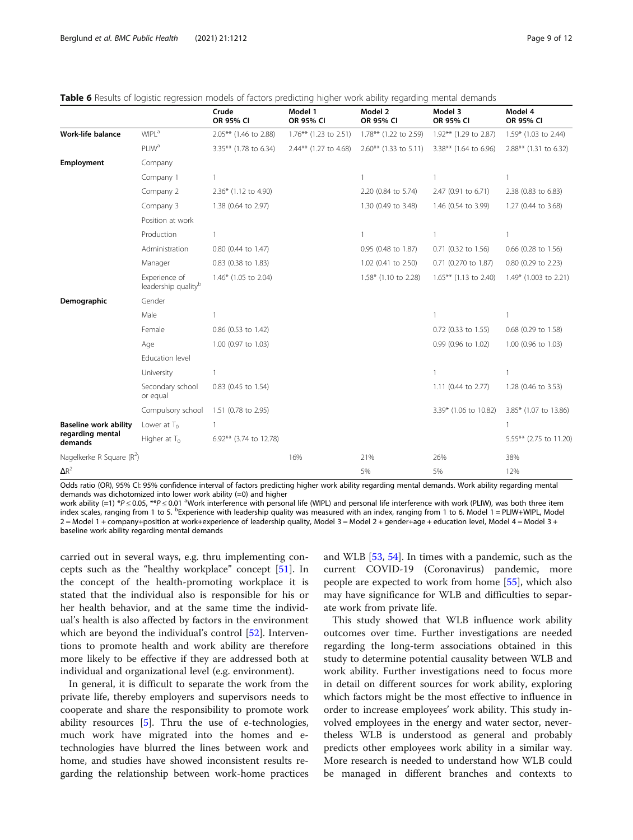<span id="page-8-0"></span>Table 6 Results of logistic regression models of factors predicting higher work ability regarding mental demands

|                              |                                                  | Crude<br>OR 95% CI     | Model 1<br>OR 95% CI     | Model 2<br>OR 95% CI     | Model 3<br>OR 95% CI     | Model 4<br>OR 95% CI    |
|------------------------------|--------------------------------------------------|------------------------|--------------------------|--------------------------|--------------------------|-------------------------|
| <b>Work-life balance</b>     | WIPL <sup>a</sup>                                | 2.05** (1.46 to 2.88)  | $1.76***$ (1.23 to 2.51) | 1.78** (1.22 to 2.59)    | 1.92** (1.29 to 2.87)    | $1.59*$ (1.03 to 2.44)  |
|                              | <b>PLIW<sup>a</sup></b>                          | 3.35** (1.78 to 6.34)  | 2.44** (1.27 to 4.68)    | $2.60***$ (1.33 to 5.11) | $3.38***$ (1.64 to 6.96) | 2.88** (1.31 to 6.32)   |
| <b>Employment</b>            | Company                                          |                        |                          |                          |                          |                         |
|                              | Company 1                                        | 1                      |                          | $\mathbf{1}$             | $\overline{1}$           | $\mathbf{1}$            |
|                              | Company 2                                        | 2.36* (1.12 to 4.90)   |                          | 2.20 (0.84 to 5.74)      | 2.47 (0.91 to 6.71)      | 2.38 (0.83 to 6.83)     |
|                              | Company 3                                        | 1.38 (0.64 to 2.97)    |                          | 1.30 (0.49 to 3.48)      | 1.46 (0.54 to 3.99)      | 1.27 (0.44 to 3.68)     |
|                              | Position at work                                 |                        |                          |                          |                          |                         |
|                              | Production                                       | 1                      |                          | 1                        | -1                       | 1                       |
|                              | Administration                                   | 0.80 (0.44 to 1.47)    |                          | 0.95 (0.48 to 1.87)      | 0.71 (0.32 to 1.56)      | 0.66 (0.28 to 1.56)     |
|                              | Manager                                          | 0.83 (0.38 to 1.83)    |                          | 1.02 (0.41 to 2.50)      | 0.71 (0.270 to 1.87)     | 0.80 (0.29 to 2.23)     |
|                              | Experience of<br>leadership quality <sup>b</sup> | 1.46* (1.05 to 2.04)   |                          | 1.58* (1.10 to 2.28)     | $1.65***$ (1.13 to 2.40) | $1.49*$ (1.003 to 2.21) |
| Demographic                  | Gender                                           |                        |                          |                          |                          |                         |
|                              | Male                                             | 1                      |                          |                          | $\overline{1}$           | 1                       |
|                              | Female                                           | 0.86 (0.53 to 1.42)    |                          |                          | 0.72 (0.33 to 1.55)      | 0.68 (0.29 to 1.58)     |
|                              | Age                                              | 1.00 (0.97 to 1.03)    |                          |                          | 0.99 (0.96 to 1.02)      | 1.00 (0.96 to 1.03)     |
|                              | Education level                                  |                        |                          |                          |                          |                         |
|                              | University                                       | 1                      |                          |                          | $\mathbf{1}$             | 1                       |
|                              | Secondary school<br>or equal                     | 0.83 (0.45 to 1.54)    |                          |                          | 1.11 (0.44 to 2.77)      | 1.28 (0.46 to 3.53)     |
|                              | Compulsory school                                | 1.51 (0.78 to 2.95)    |                          |                          | 3.39* (1.06 to 10.82)    | 3.85* (1.07 to 13.86)   |
| <b>Baseline work ability</b> | Lower at $T_0$                                   | 1                      |                          |                          |                          | 1                       |
| regarding mental<br>demands  | Higher at $T_0$                                  | 6.92** (3.74 to 12.78) |                          |                          |                          | 5.55** (2.75 to 11.20)  |
| Nagelkerke R Square $(R^2)$  |                                                  |                        | 16%                      | 21%                      | 26%                      | 38%                     |
| $\Delta R^2$                 |                                                  |                        |                          | 5%                       | 5%                       | 12%                     |

Odds ratio (OR), 95% CI: 95% confidence interval of factors predicting higher work ability regarding mental demands. Work ability regarding mental demands was dichotomized into lower work ability (=0) and higher

work ability (=1) \*P ≤ 0.05, \*\*P ≤ 0.01 <sup>a</sup>Work interference with personal life (WIPL) and personal life interference with work (PLIW), was both three item index scales, ranging from 1 to 5. <sup>b</sup>Experience with leadership quality was measured with an index, ranging from 1 to 6. Model 1 = PLIW+WIPL, Model 2 = Model 1 + company+position at work+experience of leadership quality, Model 3 = Model 2 + gender+age + education level, Model 4 = Model 3 + baseline work ability regarding mental demands

carried out in several ways, e.g. thru implementing concepts such as the "healthy workplace" concept [\[51](#page-11-0)]. In the concept of the health-promoting workplace it is stated that the individual also is responsible for his or her health behavior, and at the same time the individual's health is also affected by factors in the environment which are beyond the individual's control [\[52](#page-11-0)]. Interventions to promote health and work ability are therefore more likely to be effective if they are addressed both at individual and organizational level (e.g. environment).

In general, it is difficult to separate the work from the private life, thereby employers and supervisors needs to cooperate and share the responsibility to promote work ability resources [[5\]](#page-10-0). Thru the use of e-technologies, much work have migrated into the homes and etechnologies have blurred the lines between work and home, and studies have showed inconsistent results regarding the relationship between work-home practices

and WLB [\[53,](#page-11-0) [54\]](#page-11-0). In times with a pandemic, such as the current COVID-19 (Coronavirus) pandemic, more people are expected to work from home [[55\]](#page-11-0), which also may have significance for WLB and difficulties to separate work from private life.

This study showed that WLB influence work ability outcomes over time. Further investigations are needed regarding the long-term associations obtained in this study to determine potential causality between WLB and work ability. Further investigations need to focus more in detail on different sources for work ability, exploring which factors might be the most effective to influence in order to increase employees' work ability. This study involved employees in the energy and water sector, nevertheless WLB is understood as general and probably predicts other employees work ability in a similar way. More research is needed to understand how WLB could be managed in different branches and contexts to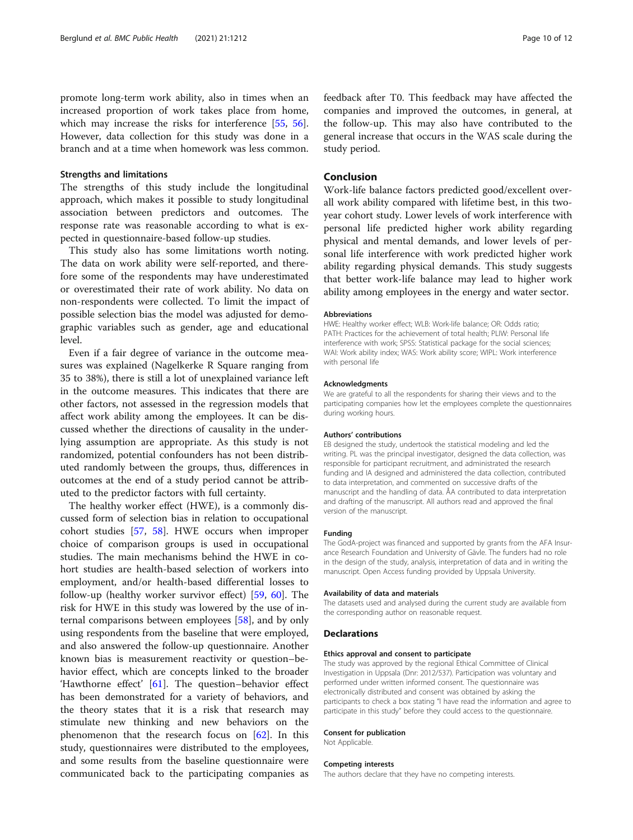promote long-term work ability, also in times when an increased proportion of work takes place from home, which may increase the risks for interference [[55,](#page-11-0) [56](#page-11-0)]. However, data collection for this study was done in a branch and at a time when homework was less common.

# Strengths and limitations

The strengths of this study include the longitudinal approach, which makes it possible to study longitudinal association between predictors and outcomes. The response rate was reasonable according to what is expected in questionnaire-based follow-up studies.

This study also has some limitations worth noting. The data on work ability were self-reported, and therefore some of the respondents may have underestimated or overestimated their rate of work ability. No data on non-respondents were collected. To limit the impact of possible selection bias the model was adjusted for demographic variables such as gender, age and educational level.

Even if a fair degree of variance in the outcome measures was explained (Nagelkerke R Square ranging from 35 to 38%), there is still a lot of unexplained variance left in the outcome measures. This indicates that there are other factors, not assessed in the regression models that affect work ability among the employees. It can be discussed whether the directions of causality in the underlying assumption are appropriate. As this study is not randomized, potential confounders has not been distributed randomly between the groups, thus, differences in outcomes at the end of a study period cannot be attributed to the predictor factors with full certainty.

The healthy worker effect (HWE), is a commonly discussed form of selection bias in relation to occupational cohort studies [[57,](#page-11-0) [58](#page-11-0)]. HWE occurs when improper choice of comparison groups is used in occupational studies. The main mechanisms behind the HWE in cohort studies are health-based selection of workers into employment, and/or health-based differential losses to follow-up (healthy worker survivor effect) [\[59,](#page-11-0) [60\]](#page-11-0). The risk for HWE in this study was lowered by the use of internal comparisons between employees [[58\]](#page-11-0), and by only using respondents from the baseline that were employed, and also answered the follow-up questionnaire. Another known bias is measurement reactivity or question–behavior effect, which are concepts linked to the broader 'Hawthorne effect' [\[61](#page-11-0)]. The question–behavior effect has been demonstrated for a variety of behaviors, and the theory states that it is a risk that research may stimulate new thinking and new behaviors on the phenomenon that the research focus on  $[62]$ . In this study, questionnaires were distributed to the employees, and some results from the baseline questionnaire were communicated back to the participating companies as feedback after T0. This feedback may have affected the companies and improved the outcomes, in general, at the follow-up. This may also have contributed to the general increase that occurs in the WAS scale during the study period.

# Conclusion

Work-life balance factors predicted good/excellent overall work ability compared with lifetime best, in this twoyear cohort study. Lower levels of work interference with personal life predicted higher work ability regarding physical and mental demands, and lower levels of personal life interference with work predicted higher work ability regarding physical demands. This study suggests that better work-life balance may lead to higher work ability among employees in the energy and water sector.

#### Abbreviations

HWE: Healthy worker effect; WLB: Work-life balance; OR: Odds ratio; PATH: Practices for the achievement of total health; PLIW: Personal life interference with work; SPSS: Statistical package for the social sciences; WAI: Work ability index; WAS: Work ability score; WIPL: Work interference with personal life

#### Acknowledgments

We are grateful to all the respondents for sharing their views and to the participating companies how let the employees complete the questionnaires during working hours.

#### Authors' contributions

EB designed the study, undertook the statistical modeling and led the writing. PL was the principal investigator, designed the data collection, was responsible for participant recruitment, and administrated the research funding and IA designed and administered the data collection, contributed to data interpretation, and commented on successive drafts of the manuscript and the handling of data. ÅA contributed to data interpretation and drafting of the manuscript. All authors read and approved the final version of the manuscript.

#### Funding

The GodA-project was financed and supported by grants from the AFA Insurance Research Foundation and University of Gävle. The funders had no role in the design of the study, analysis, interpretation of data and in writing the manuscript. Open Access funding provided by Uppsala University.

#### Availability of data and materials

The datasets used and analysed during the current study are available from the corresponding author on reasonable request.

#### **Declarations**

#### Ethics approval and consent to participate

The study was approved by the regional Ethical Committee of Clinical Investigation in Uppsala (Dnr: 2012/537). Participation was voluntary and performed under written informed consent. The questionnaire was electronically distributed and consent was obtained by asking the participants to check a box stating "I have read the information and agree to participate in this study" before they could access to the questionnaire.

#### Consent for publication

Not Applicable.

#### Competing interests

The authors declare that they have no competing interests.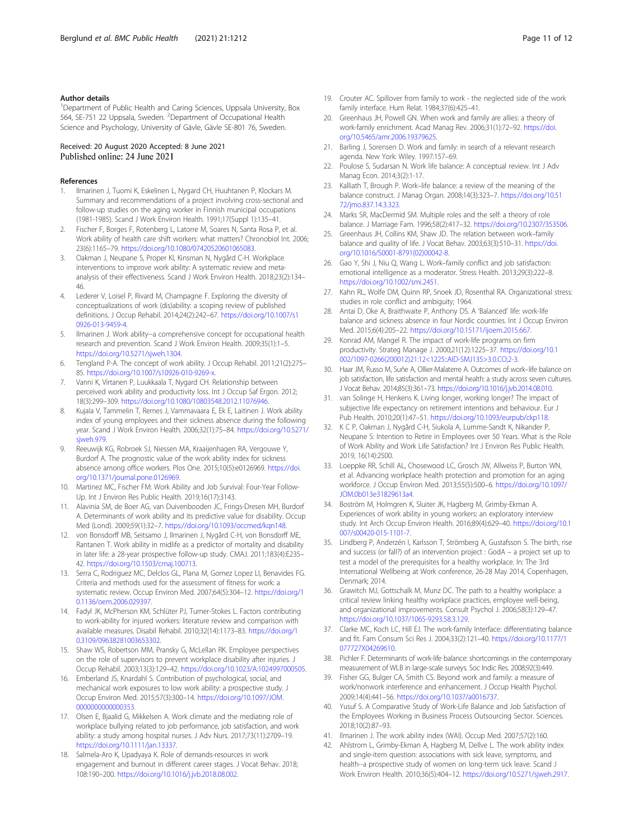## <span id="page-10-0"></span>Author details

<sup>1</sup>Department of Public Health and Caring Sciences, Uppsala University, Box 564, SE-751 22 Uppsala, Sweden. <sup>2</sup>Department of Occupational Health Science and Psychology, University of Gävle, Gävle SE-801 76, Sweden.

## Received: 20 August 2020 Accepted: 8 June 2021 Published online: 24 June 2021

#### References

- 1. Ilmarinen J, Tuomi K, Eskelinen L, Nygard CH, Huuhtanen P, Klockars M. Summary and recommendations of a project involving cross-sectional and follow-up studies on the aging worker in Finnish municipal occupations (1981-1985). Scand J Work Environ Health. 1991;17(Suppl 1):135–41.
- 2. Fischer F, Borges F, Rotenberg L, Latorre M, Soares N, Santa Rosa P, et al. Work ability of health care shift workers: what matters? Chronobiol Int. 2006; 23(6):1165–79. <https://doi.org/10.1080/07420520601065083>.
- 3. Oakman J, Neupane S, Proper KI, Kinsman N, Nygård C-H. Workplace interventions to improve work ability: A systematic review and metaanalysis of their effectiveness. Scand J Work Environ Health. 2018;23(2):134– 46.
- 4. Lederer V, Loisel P, Rivard M, Champagne F. Exploring the diversity of conceptualizations of work (dis)ability: a scoping review of published definitions. J Occup Rehabil. 2014;24(2):242–67. [https://doi.org/10.1007/s1](https://doi.org/10.1007/s10926-013-9459-4) [0926-013-9459-4.](https://doi.org/10.1007/s10926-013-9459-4)
- 5. Ilmarinen J. Work ability--a comprehensive concept for occupational health research and prevention. Scand J Work Environ Health. 2009;35(1):1–5. <https://doi.org/10.5271/sjweh.1304>.
- 6. Tengland P-A. The concept of work ability. J Occup Rehabil. 2011;21(2):275– 85. [https://doi.org/10.1007/s10926-010-9269-x.](https://doi.org/10.1007/s10926-010-9269-x)
- 7. Vanni K, Virtanen P, Luukkaala T, Nygard CH. Relationship between perceived work ability and productivity loss. Int J Occup Saf Ergon. 2012; 18(3):299–309. <https://doi.org/10.1080/10803548.2012.11076946>.
- Kujala V, Tammelin T, Remes J, Vammavaara E, Ek E, Laitinen J. Work ability index of young employees and their sickness absence during the following year. Scand J Work Environ Health. 2006;32(1):75–84. [https://doi.org/10.5271/](https://doi.org/10.5271/sjweh.979) siweh.979.
- 9. Reeuwijk KG, Robroek SJ, Niessen MA, Kraaijenhagen RA, Vergouwe Y, Burdorf A. The prognostic value of the work ability index for sickness absence among office workers. Plos One. 2015;10(5):e0126969. [https://doi.](https://doi.org/10.1371/journal.pone.0126969) [org/10.1371/journal.pone.0126969.](https://doi.org/10.1371/journal.pone.0126969)
- 10. Martinez MC, Fischer FM: Work Ability and Job Survival: Four-Year Follow-Up. Int J Environ Res Public Health. 2019;16(17):3143.
- 11. Alavinia SM, de Boer AG, van Duivenbooden JC, Frings-Dresen MH, Burdorf A. Determinants of work ability and its predictive value for disability. Occup Med (Lond). 2009;59(1):32–7. [https://doi.org/10.1093/occmed/kqn148.](https://doi.org/10.1093/occmed/kqn148)
- 12. von Bonsdorff MB, Seitsamo J, Ilmarinen J, Nygård C-H, von Bonsdorff ME, Rantanen T. Work ability in midlife as a predictor of mortality and disability in later life: a 28-year prospective follow-up study. CMAJ. 2011;183(4):E235– 42. <https://doi.org/10.1503/cmaj.100713>.
- 13. Serra C, Rodriguez MC, Delclos GL, Plana M, Gomez Lopez LI, Benavides FG. Criteria and methods used for the assessment of fitness for work: a systematic review. Occup Environ Med. 2007;64(5):304–12. [https://doi.org/1](https://doi.org/10.1136/oem.2006.029397) [0.1136/oem.2006.029397.](https://doi.org/10.1136/oem.2006.029397)
- 14. Fadyl JK, McPherson KM, Schlüter PJ, Turner-Stokes L. Factors contributing to work-ability for injured workers: literature review and comparison with available measures. Disabil Rehabil. 2010;32(14):1173–83. [https://doi.org/1](https://doi.org/10.3109/09638281003653302) [0.3109/09638281003653302](https://doi.org/10.3109/09638281003653302).
- 15. Shaw WS, Robertson MM, Pransky G, McLellan RK. Employee perspectives on the role of supervisors to prevent workplace disability after injuries. J Occup Rehabil. 2003;13(3):129–42. <https://doi.org/10.1023/A:1024997000505>.
- 16. Emberland JS, Knardahl S. Contribution of psychological, social, and mechanical work exposures to low work ability: a prospective study. J Occup Environ Med. 2015;57(3):300–14. [https://doi.org/10.1097/JOM.](https://doi.org/10.1097/JOM.0000000000000353) [0000000000000353](https://doi.org/10.1097/JOM.0000000000000353).
- 17. Olsen E, Bjaalid G, Mikkelsen A. Work climate and the mediating role of workplace bullying related to job performance, job satisfaction, and work ability: a study among hospital nurses. J Adv Nurs. 2017;73(11):2709–19. [https://doi.org/10.1111/jan.13337.](https://doi.org/10.1111/jan.13337)
- 18. Salmela-Aro K, Upadyaya K. Role of demands-resources in work engagement and burnout in different career stages. J Vocat Behav. 2018; 108:190–200. <https://doi.org/10.1016/j.jvb.2018.08.002>.
- 19. Crouter AC. Spillover from family to work the neglected side of the work family interface. Hum Relat. 1984;37(6):425–41.
- 20. Greenhaus JH, Powell GN. When work and family are allies: a theory of work-family enrichment. Acad Manag Rev. 2006;31(1):72–92. [https://doi.](https://doi.org/10.5465/amr.2006.19379625) [org/10.5465/amr.2006.19379625](https://doi.org/10.5465/amr.2006.19379625).
- 21. Barling J, Sorensen D. Work and family: in search of a relevant research agenda. New York: Wiley. 1997:157–69.
- 22. Poulose S, Sudarsan N. Work life balance: A conceptual review. Int J Adv Manag Econ. 2014;3(2):1-17.
- 23. Kalliath T, Brough P. Work–life balance: a review of the meaning of the balance construct. J Manag Organ. 2008;14(3):323–7. [https://doi.org/10.51](https://doi.org/10.5172/jmo.837.14.3.323) [72/jmo.837.14.3.323.](https://doi.org/10.5172/jmo.837.14.3.323)
- 24. Marks SR, MacDermid SM. Multiple roles and the self: a theory of role balance. J Marriage Fam. 1996;58(2):417–32. [https://doi.org/10.2307/353506.](https://doi.org/10.2307/353506)
- 25. Greenhaus JH, Collins KM, Shaw JD. The relation between work–family balance and quality of life. J Vocat Behav. 2003;63(3):510–31. [https://doi.](https://doi.org/10.1016/S0001-8791(02)00042-8) [org/10.1016/S0001-8791\(02\)00042-8.](https://doi.org/10.1016/S0001-8791(02)00042-8)
- 26. Gao Y, Shi J, Niu Q, Wang L. Work–family conflict and job satisfaction: emotional intelligence as a moderator. Stress Health. 2013;29(3):222–8. [https://doi.org/10.1002/smi.2451.](https://doi.org/10.1002/smi.2451)
- 27. Kahn RL, Wolfe DM, Quinn RP, Snoek JD, Rosenthal RA. Organizational stress: studies in role conflict and ambiguity; 1964.
- 28. Antai D, Oke A, Braithwaite P, Anthony DS. A 'Balanced' life: work-life balance and sickness absence in four Nordic countries. Int J Occup Environ Med. 2015;6(4):205–22. <https://doi.org/10.15171/ijoem.2015.667>.
- 29. Konrad AM, Mangel R. The impact of work-life programs on firm productivity. Strateg Manage J. 2000;21(12):1225–37. [https://doi.org/10.1](https://doi.org/10.1002/1097-0266(200012)21:12<1225::AID-SMJ135>3.0.CO;2-3) [002/1097-0266\(200012\)21:12<1225::AID-SMJ135>3.0.CO;2-3](https://doi.org/10.1002/1097-0266(200012)21:12<1225::AID-SMJ135>3.0.CO;2-3).
- 30. Haar JM, Russo M, Suñe A, Ollier-Malaterre A. Outcomes of work–life balance on job satisfaction, life satisfaction and mental health: a study across seven cultures. J Vocat Behav. 2014;85(3):361–73. <https://doi.org/10.1016/j.jvb.2014.08.010>.
- 31. van Solinge H, Henkens K. Living longer, working longer? The impact of subjective life expectancy on retirement intentions and behaviour. Eur J Pub Health. 2010;20(1):47–51. [https://doi.org/10.1093/eurpub/ckp118.](https://doi.org/10.1093/eurpub/ckp118)
- 32. K C P, Oakman J, Nygård C-H, Siukola A, Lumme-Sandt K, Nikander P, Neupane S: Intention to Retire in Employees over 50 Years. What is the Role of Work Ability and Work Life Satisfaction? Int J Environ Res Public Health. 2019, 16(14):2500.
- 33. Loeppke RR, Schill AL, Chosewood LC, Grosch JW, Allweiss P, Burton WN, et al. Advancing workplace health protection and promotion for an aging workforce. J Occup Environ Med. 2013;55(5):500–6. [https://doi.org/10.1097/](https://doi.org/10.1097/JOM.0b013e31829613a4) [JOM.0b013e31829613a4](https://doi.org/10.1097/JOM.0b013e31829613a4).
- 34. Boström M, Holmgren K, Sluiter JK, Hagberg M, Grimby-Ekman A. Experiences of work ability in young workers: an exploratory interview study. Int Arch Occup Environ Health. 2016;89(4):629–40. [https://doi.org/10.1](https://doi.org/10.1007/s00420-015-1101-7) [007/s00420-015-1101-7.](https://doi.org/10.1007/s00420-015-1101-7)
- 35. Lindberg P, Anderzén I, Karlsson T, Strömberg A, Gustafsson S. The birth, rise and success (or fall?) of an intervention project : GodA – a project set up to test a model of the prerequisites for a healthy workplace. In: The 3rd International Wellbeing at Work conference, 26-28 May 2014, Copenhagen, Denmark; 2014.
- 36. Grawitch MJ, Gottschalk M, Munz DC. The path to a healthy workplace: a critical review linking healthy workplace practices, employee well-being, and organizational improvements. Consult Psychol J. 2006;58(3):129–47. <https://doi.org/10.1037/1065-9293.58.3.129>.
- 37. Clarke MC, Koch LC, Hill EJ. The work-family Interface: differentiating balance and fit. Fam Consum Sci Res J. 2004;33(2):121–40. [https://doi.org/10.1177/1](https://doi.org/10.1177/1077727X04269610) [077727X04269610](https://doi.org/10.1177/1077727X04269610).
- 38. Pichler F. Determinants of work-life balance: shortcomings in the contemporary measurement of WLB in large-scale surveys. Soc Indic Res. 2008;92(3):449.
- 39. Fisher GG, Bulger CA, Smith CS. Beyond work and family: a measure of work/nonwork interference and enhancement. J Occup Health Psychol. 2009;14(4):441–56. [https://doi.org/10.1037/a0016737.](https://doi.org/10.1037/a0016737)
- 40. Yusuf S. A Comparative Study of Work-Life Balance and Job Satisfaction of the Employees Working in Business Process Outsourcing Sector. Sciences. 2018;10(2):87–93.
- 41. Ilmarinen J. The work ability index (WAI). Occup Med. 2007;57(2):160.
- 42. Ahlstrom L, Grimby-Ekman A, Hagberg M, Dellve L. The work ability index and single-item question: associations with sick leave, symptoms, and health--a prospective study of women on long-term sick leave. Scand J Work Environ Health. 2010;36(5):404–12. <https://doi.org/10.5271/sjweh.2917>.